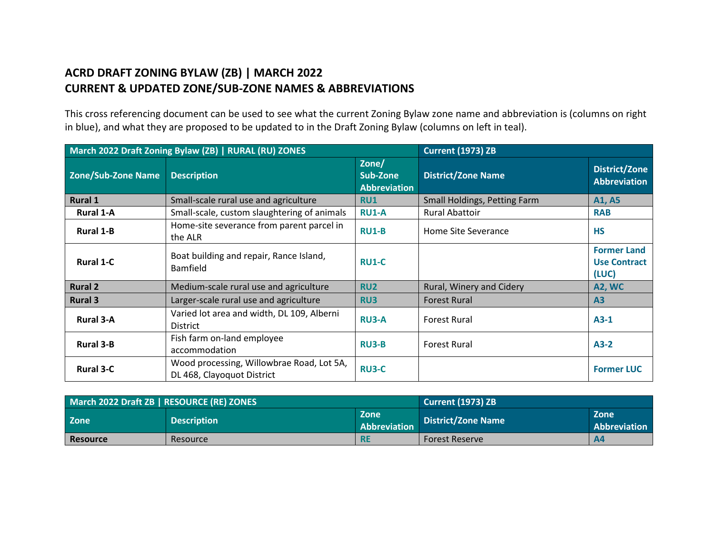## **ACRD DRAFT ZONING BYLAW (ZB) | MARCH 2022 CURRENT & UPDATED ZONE/SUB-ZONE NAMES & ABBREVIATIONS**

This cross referencing document can be used to see what the current Zoning Bylaw zone name and abbreviation is (columns on right in blue), and what they are proposed to be updated to in the Draft Zoning Bylaw (columns on left in teal).

| March 2022 Draft Zoning Bylaw (ZB)   RURAL (RU) ZONES |                                                                         | <b>Current (1973) ZB</b>                 |                              |                                                    |
|-------------------------------------------------------|-------------------------------------------------------------------------|------------------------------------------|------------------------------|----------------------------------------------------|
| <b>Zone/Sub-Zone Name</b>                             | <b>Description</b>                                                      | Zone/<br>Sub-Zone<br><b>Abbreviation</b> | <b>District/Zone Name</b>    | <b>District/Zone</b><br><b>Abbreviation</b>        |
| <b>Rural 1</b>                                        | Small-scale rural use and agriculture                                   | <b>RU1</b>                               | Small Holdings, Petting Farm | A1, A5                                             |
| <b>Rural 1-A</b>                                      | Small-scale, custom slaughtering of animals                             | <b>RU1-A</b>                             | <b>Rural Abattoir</b>        | <b>RAB</b>                                         |
| <b>Rural 1-B</b>                                      | Home-site severance from parent parcel in<br>the ALR                    | <b>RU1-B</b>                             | Home Site Severance          | <b>HS</b>                                          |
| <b>Rural 1-C</b>                                      | Boat building and repair, Rance Island,<br><b>Bamfield</b>              | <b>RU1-C</b>                             |                              | <b>Former Land</b><br><b>Use Contract</b><br>(LUC) |
| <b>Rural 2</b>                                        | Medium-scale rural use and agriculture                                  | <b>RU2</b>                               | Rural, Winery and Cidery     | <b>A2, WC</b>                                      |
| <b>Rural 3</b>                                        | Larger-scale rural use and agriculture                                  | RU3                                      | <b>Forest Rural</b>          | A3                                                 |
| <b>Rural 3-A</b>                                      | Varied lot area and width, DL 109, Alberni<br><b>District</b>           | <b>RU3-A</b>                             | <b>Forest Rural</b>          | $A3-1$                                             |
| <b>Rural 3-B</b>                                      | Fish farm on-land employee<br>accommodation                             | <b>RU3-B</b>                             | <b>Forest Rural</b>          | $A3-2$                                             |
| <b>Rural 3-C</b>                                      | Wood processing, Willowbrae Road, Lot 5A,<br>DL 468, Clayoquot District | <b>RU3-C</b>                             |                              | <b>Former LUC</b>                                  |

| March 2022 Draft ZB   RESOURCE (RE) ZONES |                    | Current (1973) ZB                  |                           |                             |
|-------------------------------------------|--------------------|------------------------------------|---------------------------|-----------------------------|
| Zone                                      | <b>Description</b> | <b>Zone</b><br><b>Abbreviation</b> | <b>District/Zone Name</b> | <b>Zone</b><br>Abbreviation |
| <b>Resource</b>                           | Resource           | <b>RE</b>                          | <b>Forest Reserve</b>     | <b>A4</b>                   |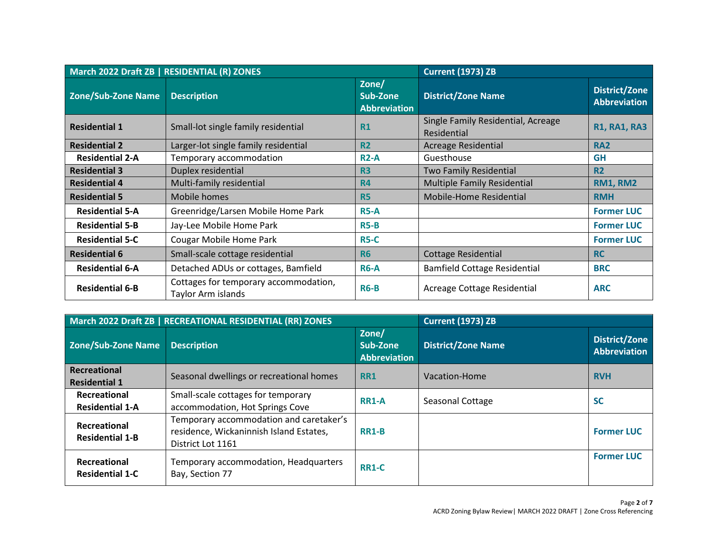| March 2022 Draft ZB   RESIDENTIAL (R) ZONES |                                                             | <b>Current (1973) ZB</b>                 |                                                   |                                             |
|---------------------------------------------|-------------------------------------------------------------|------------------------------------------|---------------------------------------------------|---------------------------------------------|
| <b>Zone/Sub-Zone Name</b>                   | <b>Description</b>                                          | Zone/<br>Sub-Zone<br><b>Abbreviation</b> | <b>District/Zone Name</b>                         | <b>District/Zone</b><br><b>Abbreviation</b> |
| <b>Residential 1</b>                        | Small-lot single family residential                         | <b>R1</b>                                | Single Family Residential, Acreage<br>Residential | <b>R1, RA1, RA3</b>                         |
| <b>Residential 2</b>                        | Larger-lot single family residential                        | R <sub>2</sub>                           | <b>Acreage Residential</b>                        | <b>RA2</b>                                  |
| <b>Residential 2-A</b>                      | Temporary accommodation                                     | <b>R2-A</b>                              | Guesthouse                                        | <b>GH</b>                                   |
| <b>Residential 3</b>                        | Duplex residential                                          | R <sub>3</sub>                           | <b>Two Family Residential</b>                     | <b>R2</b>                                   |
| <b>Residential 4</b>                        | Multi-family residential                                    | <b>R4</b>                                | <b>Multiple Family Residential</b>                | <b>RM1, RM2</b>                             |
| <b>Residential 5</b>                        | Mobile homes                                                | <b>R5</b>                                | Mobile-Home Residential                           | <b>RMH</b>                                  |
| <b>Residential 5-A</b>                      | Greenridge/Larsen Mobile Home Park                          | $R5-A$                                   |                                                   | <b>Former LUC</b>                           |
| <b>Residential 5-B</b>                      | Jay-Lee Mobile Home Park                                    | $R5-B$                                   |                                                   | <b>Former LUC</b>                           |
| <b>Residential 5-C</b>                      | Cougar Mobile Home Park                                     | $R5-C$                                   |                                                   | <b>Former LUC</b>                           |
| <b>Residential 6</b>                        | Small-scale cottage residential                             | <b>R6</b>                                | <b>Cottage Residential</b>                        | <b>RC</b>                                   |
| <b>Residential 6-A</b>                      | Detached ADUs or cottages, Bamfield                         | <b>R6-A</b>                              | <b>Bamfield Cottage Residential</b>               | <b>BRC</b>                                  |
| <b>Residential 6-B</b>                      | Cottages for temporary accommodation,<br>Taylor Arm islands | $R6-B$                                   | Acreage Cottage Residential                       | <b>ARC</b>                                  |

| March 2022 Draft ZB   RECREATIONAL RESIDENTIAL (RR) ZONES |                                                                                                         | <b>Current (1973) ZB</b>                 |                           |                                             |
|-----------------------------------------------------------|---------------------------------------------------------------------------------------------------------|------------------------------------------|---------------------------|---------------------------------------------|
| <b>Zone/Sub-Zone Name</b>                                 | <b>Description</b>                                                                                      | Zone/<br>Sub-Zone<br><b>Abbreviation</b> | <b>District/Zone Name</b> | <b>District/Zone</b><br><b>Abbreviation</b> |
| Recreational<br><b>Residential 1</b>                      | Seasonal dwellings or recreational homes                                                                | <b>RR1</b>                               | Vacation-Home             | <b>RVH</b>                                  |
| Recreational<br><b>Residential 1-A</b>                    | Small-scale cottages for temporary<br>accommodation, Hot Springs Cove                                   | <b>RR1-A</b>                             | Seasonal Cottage          | <b>SC</b>                                   |
| Recreational<br><b>Residential 1-B</b>                    | Temporary accommodation and caretaker's<br>residence, Wickaninnish Island Estates,<br>District Lot 1161 | <b>RR1-B</b>                             |                           | <b>Former LUC</b>                           |
| Recreational<br><b>Residential 1-C</b>                    | Temporary accommodation, Headquarters<br>Bay, Section 77                                                | <b>RR1-C</b>                             |                           | <b>Former LUC</b>                           |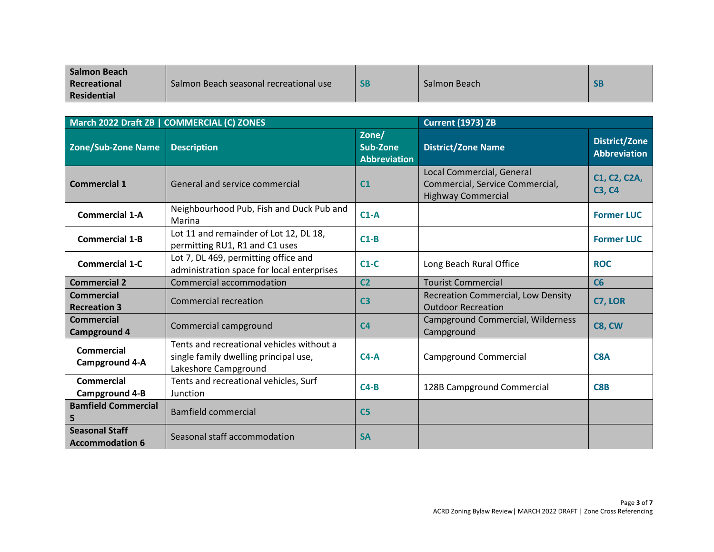| <b>Salmon Beach</b> |                                        |           |              |           |
|---------------------|----------------------------------------|-----------|--------------|-----------|
| Recreational        | Salmon Beach seasonal recreational use | <b>SB</b> | Salmon Beach | <b>SB</b> |
| <b>Residential</b>  |                                        |           |              |           |

| March 2022 Draft ZB   COMMERCIAL (C) ZONES      |                                                                                                            | <b>Current (1973) ZB</b>                 |                                                                                           |                                             |
|-------------------------------------------------|------------------------------------------------------------------------------------------------------------|------------------------------------------|-------------------------------------------------------------------------------------------|---------------------------------------------|
| <b>Zone/Sub-Zone Name</b>                       | <b>Description</b>                                                                                         | Zone/<br>Sub-Zone<br><b>Abbreviation</b> | <b>District/Zone Name</b>                                                                 | <b>District/Zone</b><br><b>Abbreviation</b> |
| <b>Commercial 1</b>                             | General and service commercial                                                                             | C <sub>1</sub>                           | Local Commercial, General<br>Commercial, Service Commercial,<br><b>Highway Commercial</b> | C1, C2, C2A,<br><b>C3, C4</b>               |
| <b>Commercial 1-A</b>                           | Neighbourhood Pub, Fish and Duck Pub and<br>Marina                                                         | $C1-A$                                   |                                                                                           | <b>Former LUC</b>                           |
| <b>Commercial 1-B</b>                           | Lot 11 and remainder of Lot 12, DL 18,<br>permitting RU1, R1 and C1 uses                                   | $C1-B$                                   |                                                                                           | <b>Former LUC</b>                           |
| <b>Commercial 1-C</b>                           | Lot 7, DL 469, permitting office and<br>administration space for local enterprises                         | $C1-C$                                   | Long Beach Rural Office                                                                   | <b>ROC</b>                                  |
| <b>Commercial 2</b>                             | Commercial accommodation                                                                                   | C <sub>2</sub>                           | <b>Tourist Commercial</b>                                                                 | C6                                          |
| <b>Commercial</b><br><b>Recreation 3</b>        | <b>Commercial recreation</b>                                                                               | C <sub>3</sub>                           | <b>Recreation Commercial, Low Density</b><br><b>Outdoor Recreation</b>                    | C7, LOR                                     |
| <b>Commercial</b><br><b>Campground 4</b>        | Commercial campground                                                                                      | C <sub>4</sub>                           | Campground Commercial, Wilderness<br>Campground                                           | C8, CW                                      |
| <b>Commercial</b><br><b>Campground 4-A</b>      | Tents and recreational vehicles without a<br>single family dwelling principal use,<br>Lakeshore Campground | $C4-A$                                   | <b>Campground Commercial</b>                                                              | C <sub>8</sub> A                            |
| <b>Commercial</b><br><b>Campground 4-B</b>      | Tents and recreational vehicles, Surf<br>Junction                                                          | $C4-B$                                   | 128B Campground Commercial                                                                | C8B                                         |
| <b>Bamfield Commercial</b><br>5                 | <b>Bamfield commercial</b>                                                                                 | C <sub>5</sub>                           |                                                                                           |                                             |
| <b>Seasonal Staff</b><br><b>Accommodation 6</b> | Seasonal staff accommodation                                                                               | <b>SA</b>                                |                                                                                           |                                             |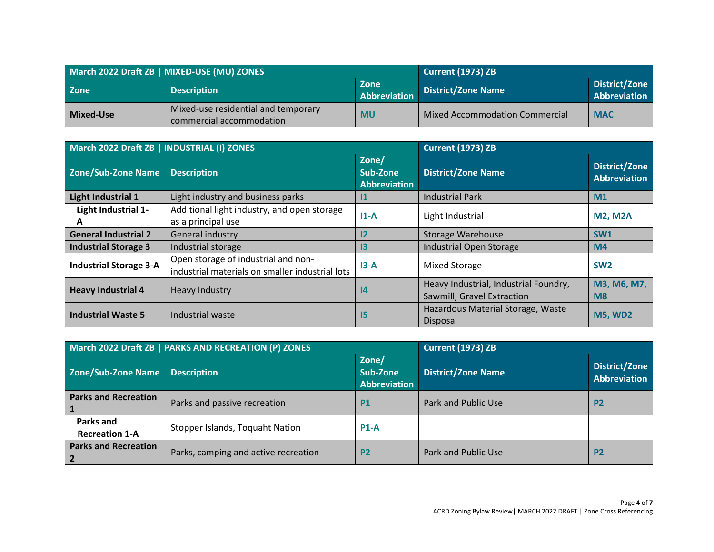| March 2022 Draft ZB   MIXED-USE (MU) ZONES |                                                                 |                      | <b>Current (1973) ZB</b>              |                               |
|--------------------------------------------|-----------------------------------------------------------------|----------------------|---------------------------------------|-------------------------------|
| <b>Zone</b>                                | <b>Description</b>                                              | Zone<br>Abbreviation | <b>District/Zone Name</b>             | District/Zone<br>Abbreviation |
| Mixed-Use                                  | Mixed-use residential and temporary<br>commercial accommodation | <b>MU</b>            | <b>Mixed Accommodation Commercial</b> | <b>MAC</b>                    |

| March 2022 Draft ZB   INDUSTRIAL (I) ZONES |                                                                                        |                                          | <b>Current (1973) ZB</b>                                            |                                             |
|--------------------------------------------|----------------------------------------------------------------------------------------|------------------------------------------|---------------------------------------------------------------------|---------------------------------------------|
| Zone/Sub-Zone Name                         | <b>Description</b>                                                                     | Zone/<br>Sub-Zone<br><b>Abbreviation</b> | <b>District/Zone Name</b>                                           | <b>District/Zone</b><br><b>Abbreviation</b> |
| <b>Light Industrial 1</b>                  | Light industry and business parks                                                      | 11                                       | <b>Industrial Park</b>                                              | M1                                          |
| Light Industrial 1-<br>A                   | Additional light industry, and open storage<br>as a principal use                      | $11-A$                                   | Light Industrial                                                    | <b>M2, M2A</b>                              |
| <b>General Industrial 2</b>                | General industry                                                                       | 12                                       | <b>Storage Warehouse</b>                                            | SW <sub>1</sub>                             |
| <b>Industrial Storage 3</b>                | Industrial storage                                                                     | 13                                       | <b>Industrial Open Storage</b>                                      | M <sub>4</sub>                              |
| <b>Industrial Storage 3-A</b>              | Open storage of industrial and non-<br>industrial materials on smaller industrial lots | $13-A$                                   | <b>Mixed Storage</b>                                                | SW <sub>2</sub>                             |
| <b>Heavy Industrial 4</b>                  | Heavy Industry                                                                         | 4                                        | Heavy Industrial, Industrial Foundry,<br>Sawmill, Gravel Extraction | M3, M6, M7,<br>M <sub>8</sub>               |
| <b>Industrial Waste 5</b>                  | Industrial waste                                                                       | $15\phantom{.0}$                         | Hazardous Material Storage, Waste<br>Disposal                       | <b>M5, WD2</b>                              |

| March 2022 Draft ZB   PARKS AND RECREATION (P) ZONES   |                                      |                                   | <b>Current (1973) ZB</b>  |                                      |
|--------------------------------------------------------|--------------------------------------|-----------------------------------|---------------------------|--------------------------------------|
| Zone/Sub-Zone Name                                     | <b>Description</b>                   | Zone/<br>Sub-Zone<br>Abbreviation | <b>District/Zone Name</b> | <b>District/Zone</b><br>Abbreviation |
| <b>Parks and Recreation</b>                            | Parks and passive recreation         | <b>P1</b>                         | Park and Public Use       | P <sub>2</sub>                       |
| Parks and<br><b>Recreation 1-A</b>                     | Stopper Islands, Toquaht Nation      | $P1-A$                            |                           |                                      |
| <b>Parks and Recreation</b><br>$\overline{\mathbf{2}}$ | Parks, camping and active recreation | P <sub>2</sub>                    | Park and Public Use       | P <sub>2</sub>                       |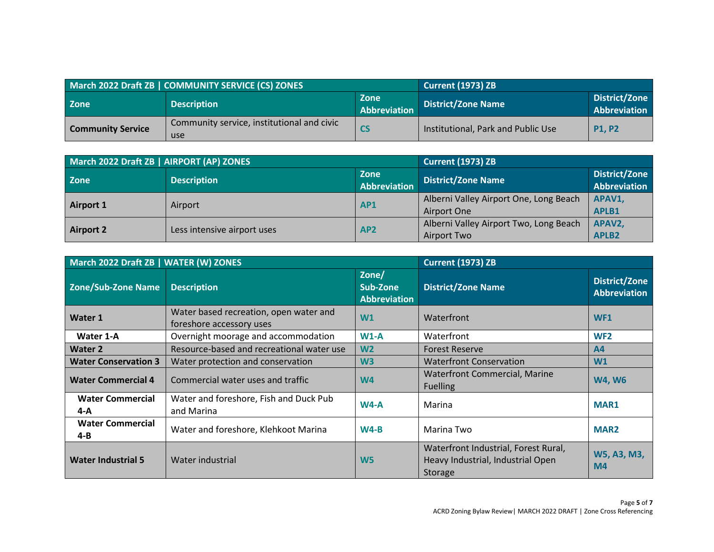| March 2022 Draft ZB   COMMUNITY SERVICE (CS) ZONES |                                                   |                                    | <b>Current (1973) ZB</b>           |                               |
|----------------------------------------------------|---------------------------------------------------|------------------------------------|------------------------------------|-------------------------------|
| <b>Zone</b>                                        | <b>Description</b>                                | <b>Zone</b><br><b>Abbreviation</b> | <b>District/Zone Name</b>          | District/Zone<br>Abbreviation |
| <b>Community Service</b>                           | Community service, institutional and civic<br>use | $\mathsf{CS}$                      | Institutional, Park and Public Use | <b>P1.P2</b>                  |

| March 2022 Draft ZB   AIRPORT (AP) ZONES |                             |                                    | <b>Current (1973) ZB</b>               |                               |
|------------------------------------------|-----------------------------|------------------------------------|----------------------------------------|-------------------------------|
| <b>Zone</b>                              | <b>Description</b>          | <b>Zone</b><br><b>Abbreviation</b> | <b>District/Zone Name</b>              | District/Zone<br>Abbreviation |
|                                          |                             |                                    |                                        |                               |
|                                          | Airport                     | AP <sub>1</sub>                    | Alberni Valley Airport One, Long Beach | APAV1,                        |
| Airport 1                                |                             |                                    | Airport One                            | APLB1                         |
| Airport 2                                | Less intensive airport uses |                                    | Alberni Valley Airport Two, Long Beach | APAV2,                        |
|                                          |                             | AP <sub>2</sub>                    | Airport Two                            | <b>APLB2</b>                  |

| March 2022 Draft ZB   WATER (W) ZONES |                                                                    |                                   | <b>Current (1973) ZB</b>                                                             |                                             |
|---------------------------------------|--------------------------------------------------------------------|-----------------------------------|--------------------------------------------------------------------------------------|---------------------------------------------|
| Zone/Sub-Zone Name                    | <b>Description</b>                                                 | Zone/<br>Sub-Zone<br>Abbreviation | <b>District/Zone Name</b>                                                            | <b>District/Zone</b><br><b>Abbreviation</b> |
| <b>Water 1</b>                        | Water based recreation, open water and<br>foreshore accessory uses | W1                                | Waterfront                                                                           | WF <sub>1</sub>                             |
| Water 1-A                             | Overnight moorage and accommodation                                | $W1-A$                            | Waterfront                                                                           | WF <sub>2</sub>                             |
| <b>Water 2</b>                        | Resource-based and recreational water use                          | W <sub>2</sub>                    | <b>Forest Reserve</b>                                                                | A <sub>4</sub>                              |
| <b>Water Conservation 3</b>           | Water protection and conservation                                  | W <sub>3</sub>                    | <b>Waterfront Conservation</b>                                                       | W1                                          |
| <b>Water Commercial 4</b>             | Commercial water uses and traffic                                  | W <sub>4</sub>                    | <b>Waterfront Commercial, Marine</b><br><b>Fuelling</b>                              | <b>W4, W6</b>                               |
| <b>Water Commercial</b><br>$4-A$      | Water and foreshore, Fish and Duck Pub<br>and Marina               | $W4-A$                            | Marina                                                                               | MAR1                                        |
| <b>Water Commercial</b><br>$4 - B$    | Water and foreshore, Klehkoot Marina                               | $W4-B$                            | Marina Two                                                                           | <b>MAR2</b>                                 |
| <b>Water Industrial 5</b>             | Water industrial                                                   | W <sub>5</sub>                    | Waterfront Industrial, Forest Rural,<br>Heavy Industrial, Industrial Open<br>Storage | W5, A3, M3,<br>M <sub>4</sub>               |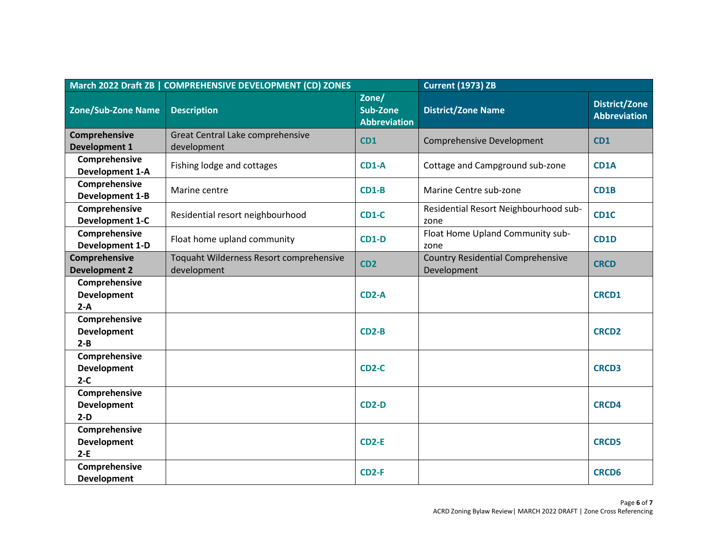| March 2022 Draft ZB   COMPREHENSIVE DEVELOPMENT (CD) ZONES |                                                        |                                          | <b>Current (1973) ZB</b>                                |                                             |
|------------------------------------------------------------|--------------------------------------------------------|------------------------------------------|---------------------------------------------------------|---------------------------------------------|
| <b>Zone/Sub-Zone Name</b>                                  | <b>Description</b>                                     | Zone/<br>Sub-Zone<br><b>Abbreviation</b> | <b>District/Zone Name</b>                               | <b>District/Zone</b><br><b>Abbreviation</b> |
| Comprehensive<br><b>Development 1</b>                      | Great Central Lake comprehensive<br>development        | CD1                                      | Comprehensive Development                               | <b>CD1</b>                                  |
| Comprehensive<br><b>Development 1-A</b>                    | Fishing lodge and cottages                             | <b>CD1-A</b>                             | Cottage and Campground sub-zone                         | CD <sub>1</sub> A                           |
| Comprehensive<br><b>Development 1-B</b>                    | Marine centre                                          | $CD1-B$                                  | Marine Centre sub-zone                                  | CD <sub>1</sub> B                           |
| Comprehensive<br><b>Development 1-C</b>                    | Residential resort neighbourhood                       | <b>CD1-C</b>                             | Residential Resort Neighbourhood sub-<br>zone           | CD <sub>1</sub> C                           |
| Comprehensive<br><b>Development 1-D</b>                    | Float home upland community                            | $CD1-D$                                  | Float Home Upland Community sub-<br>zone                | CD <sub>1</sub> D                           |
| Comprehensive<br><b>Development 2</b>                      | Toquaht Wilderness Resort comprehensive<br>development | CD <sub>2</sub>                          | <b>Country Residential Comprehensive</b><br>Development | <b>CRCD</b>                                 |
| Comprehensive<br><b>Development</b><br>$2-A$               |                                                        | CD <sub>2</sub> -A                       |                                                         | <b>CRCD1</b>                                |
| Comprehensive<br><b>Development</b><br>$2 - B$             |                                                        | $CD2-B$                                  |                                                         | <b>CRCD2</b>                                |
| Comprehensive<br><b>Development</b><br>$2-C$               |                                                        | CD <sub>2</sub> -C                       |                                                         | <b>CRCD3</b>                                |
| Comprehensive<br><b>Development</b><br>$2-D$               |                                                        | <b>CD2-D</b>                             |                                                         | <b>CRCD4</b>                                |
| Comprehensive<br><b>Development</b><br>$2-E$               |                                                        | CD <sub>2-E</sub>                        |                                                         | <b>CRCD5</b>                                |
| Comprehensive<br><b>Development</b>                        |                                                        | $CD2-F$                                  |                                                         | <b>CRCD6</b>                                |